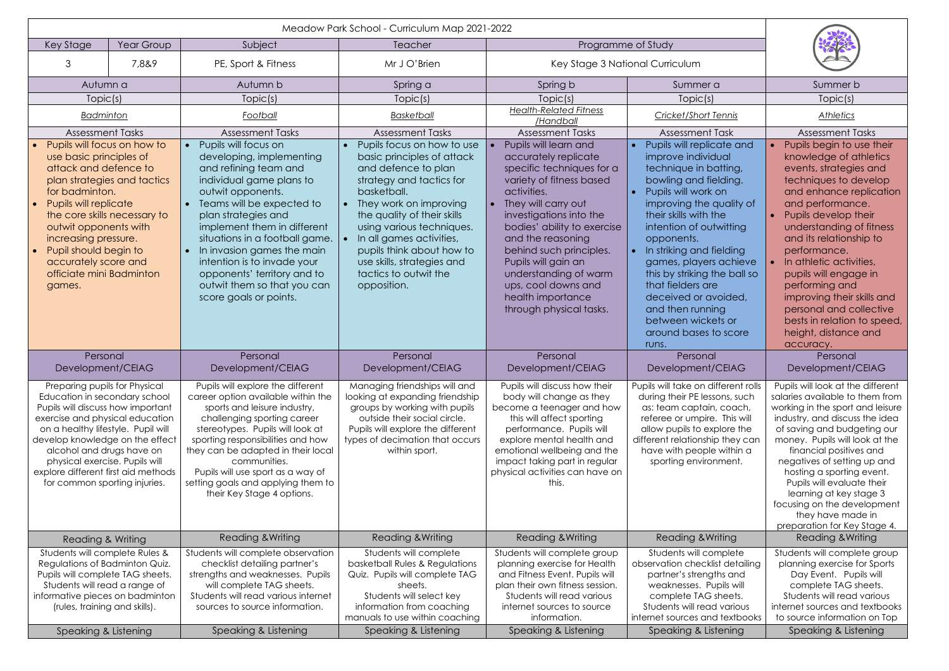| Key Stage<br>Year Group                                                                                                                                                                                                                                                                                                                                |       | Subject                                                                                                                                                                                                                                                                                                                                                                                              | <b>Teacher</b>                                                                                                                                                                                                                                                                                                                                  | Programme of Study                                                                                                                                                                                                                                                                                                                                                            |                                                                                                                                                                                                                                                                                                                                                                                                                                       |                                                                                                                                                                                                                                                                                                                                                                                                                                                         |
|--------------------------------------------------------------------------------------------------------------------------------------------------------------------------------------------------------------------------------------------------------------------------------------------------------------------------------------------------------|-------|------------------------------------------------------------------------------------------------------------------------------------------------------------------------------------------------------------------------------------------------------------------------------------------------------------------------------------------------------------------------------------------------------|-------------------------------------------------------------------------------------------------------------------------------------------------------------------------------------------------------------------------------------------------------------------------------------------------------------------------------------------------|-------------------------------------------------------------------------------------------------------------------------------------------------------------------------------------------------------------------------------------------------------------------------------------------------------------------------------------------------------------------------------|---------------------------------------------------------------------------------------------------------------------------------------------------------------------------------------------------------------------------------------------------------------------------------------------------------------------------------------------------------------------------------------------------------------------------------------|---------------------------------------------------------------------------------------------------------------------------------------------------------------------------------------------------------------------------------------------------------------------------------------------------------------------------------------------------------------------------------------------------------------------------------------------------------|
| 3                                                                                                                                                                                                                                                                                                                                                      | 7,8&9 | PE, Sport & Fitness                                                                                                                                                                                                                                                                                                                                                                                  | Mr J O'Brien                                                                                                                                                                                                                                                                                                                                    | Key Stage 3 National Curriculum                                                                                                                                                                                                                                                                                                                                               |                                                                                                                                                                                                                                                                                                                                                                                                                                       |                                                                                                                                                                                                                                                                                                                                                                                                                                                         |
| Autumn a                                                                                                                                                                                                                                                                                                                                               |       | Autumn b                                                                                                                                                                                                                                                                                                                                                                                             | Spring a                                                                                                                                                                                                                                                                                                                                        | Spring b                                                                                                                                                                                                                                                                                                                                                                      | Summer a                                                                                                                                                                                                                                                                                                                                                                                                                              | Summer b                                                                                                                                                                                                                                                                                                                                                                                                                                                |
| Topic(s)                                                                                                                                                                                                                                                                                                                                               |       | Topic(s)                                                                                                                                                                                                                                                                                                                                                                                             | Topic(s)                                                                                                                                                                                                                                                                                                                                        | Topic(s)                                                                                                                                                                                                                                                                                                                                                                      | Topic(s)                                                                                                                                                                                                                                                                                                                                                                                                                              | Topic(s)                                                                                                                                                                                                                                                                                                                                                                                                                                                |
| <b>Badminton</b>                                                                                                                                                                                                                                                                                                                                       |       | Football                                                                                                                                                                                                                                                                                                                                                                                             | Basketball                                                                                                                                                                                                                                                                                                                                      | <b>Health-Related Fitness</b><br>/Handball                                                                                                                                                                                                                                                                                                                                    | <b>Cricket/Short Tennis</b>                                                                                                                                                                                                                                                                                                                                                                                                           | <b>Athletics</b>                                                                                                                                                                                                                                                                                                                                                                                                                                        |
| <b>Assessment Tasks</b>                                                                                                                                                                                                                                                                                                                                |       | <b>Assessment Tasks</b>                                                                                                                                                                                                                                                                                                                                                                              | <b>Assessment Tasks</b>                                                                                                                                                                                                                                                                                                                         | <b>Assessment Tasks</b>                                                                                                                                                                                                                                                                                                                                                       | <b>Assessment Task</b>                                                                                                                                                                                                                                                                                                                                                                                                                | <b>Assessment Tasks</b>                                                                                                                                                                                                                                                                                                                                                                                                                                 |
| Pupils will focus on how to<br>use basic principles of<br>attack and defence to<br>plan strategies and tactics<br>for badminton.<br>Pupils will replicate<br>the core skills necessary to<br>outwit opponents with<br>increasing pressure.<br>Pupil should begin to<br>accurately score and<br>officiate mini Badminton<br>games.                      |       | Pupils will focus on<br>developing, implementing<br>and refining team and<br>individual game plans to<br>outwit opponents.<br>Teams will be expected to<br>plan strategies and<br>implement them in different<br>situations in a football game.<br>In invasion games the main<br>intention is to invade your<br>opponents' territory and to<br>outwit them so that you can<br>score goals or points. | Pupils focus on how to use<br>basic principles of attack<br>and defence to plan<br>strategy and tactics for<br>basketball.<br>They work on improving<br>the quality of their skills<br>using various techniques.<br>In all games activities,<br>pupils think about how to<br>use skills, strategies and<br>tactics to outwit the<br>opposition. | Pupils will learn and<br>accurately replicate<br>specific techniques for a<br>variety of fitness based<br>activities.<br>They will carry out<br>investigations into the<br>bodies' ability to exercise<br>and the reasoning<br>behind such principles.<br>Pupils will gain an<br>understanding of warm<br>ups, cool downs and<br>health importance<br>through physical tasks. | Pupils will replicate and<br>improve individual<br>technique in batting,<br>bowling and fielding.<br>Pupils will work on<br>improving the quality of<br>their skills with the<br>intention of outwitting<br>opponents.<br>In striking and fielding<br>games, players achieve<br>this by striking the ball so<br>that fielders are<br>deceived or avoided,<br>and then running<br>between wickets or<br>around bases to score<br>runs. | Pupils begin to use their<br>knowledge of athletics<br>events, strategies and<br>techniques to develop<br>and enhance replication<br>and performance.<br>Pupils develop their<br>understanding of fitness<br>and its relationship to<br>performance.<br>In athletic activities,<br>pupils will engage in<br>performing and<br>improving their skills and<br>personal and collective<br>bests in relation to speed,<br>height, distance and<br>accuracy. |
| Personal<br>Development/CEIAG                                                                                                                                                                                                                                                                                                                          |       | Personal<br>Development/CEIAG                                                                                                                                                                                                                                                                                                                                                                        | Personal<br>Development/CEIAG                                                                                                                                                                                                                                                                                                                   | Personal<br>Development/CEIAG                                                                                                                                                                                                                                                                                                                                                 | Personal<br>Development/CEIAG                                                                                                                                                                                                                                                                                                                                                                                                         | Personal<br>Development/CEIAG                                                                                                                                                                                                                                                                                                                                                                                                                           |
| Preparing pupils for Physical<br>Education in secondary school<br>Pupils will discuss how important<br>exercise and physical education<br>on a healthy lifestyle. Pupil will<br>develop knowledge on the effect<br>alcohol and drugs have on<br>physical exercise. Pupils will<br>explore different first aid methods<br>for common sporting injuries. |       | Pupils will explore the different<br>career option available within the<br>sports and leisure industry,<br>challenging sporting career<br>stereotypes. Pupils will look at<br>sporting responsibilities and how<br>they can be adapted in their local<br>communities.<br>Pupils will use sport as a way of<br>setting goals and applying them to<br>their Key Stage 4 options.                       | Managing friendships will and<br>looking at expanding friendship<br>groups by working with pupils<br>outside their social circle.<br>Pupils will explore the different<br>types of decimation that occurs<br>within sport.                                                                                                                      | Pupils will discuss how their<br>body will change as they<br>become a teenager and how<br>this will affect sporting<br>performance. Pupils will<br>explore mental health and<br>emotional wellbeing and the<br>impact taking part in regular<br>physical activities can have on<br>this.                                                                                      | Pupils will take on different rolls<br>during their PE lessons, such<br>as: team captain, coach,<br>referee or umpire. This will<br>allow pupils to explore the<br>different relationship they can<br>have with people within a<br>sporting environment.                                                                                                                                                                              | Pupils will look at the different<br>salaries available to them from<br>working in the sport and leisure<br>industry, and discuss the idea<br>of saving and budgeting our<br>money. Pupils will look at the<br>financial positives and<br>negatives of setting up and<br>hosting a sporting event.<br>Pupils will evaluate their<br>learning at key stage 3<br>focusing on the development<br>they have made in<br>preparation for Key Stage 4.         |
| Reading & Writing                                                                                                                                                                                                                                                                                                                                      |       | <b>Reading &amp; Writing</b>                                                                                                                                                                                                                                                                                                                                                                         | Reading & Writing                                                                                                                                                                                                                                                                                                                               | <b>Reading &amp; Writing</b>                                                                                                                                                                                                                                                                                                                                                  | <b>Reading &amp; Writing</b>                                                                                                                                                                                                                                                                                                                                                                                                          | <b>Reading &amp; Writing</b>                                                                                                                                                                                                                                                                                                                                                                                                                            |
| Students will complete Rules &<br>Regulations of Badminton Quiz.<br>Pupils will complete TAG sheets.<br>Students will read a range of<br>informative pieces on badminton<br>(rules, training and skills).                                                                                                                                              |       | Students will complete observation<br>checklist detailing partner's<br>strengths and weaknesses. Pupils<br>will complete TAG sheets.<br>Students will read various internet<br>sources to source information.                                                                                                                                                                                        | Students will complete<br>basketball Rules & Regulations<br>Quiz. Pupils will complete TAG<br>sheets.<br>Students will select key<br>information from coaching<br>manuals to use within coaching                                                                                                                                                | Students will complete group<br>planning exercise for Health<br>and Fitness Event. Pupils will<br>plan their own fitness session.<br>Students will read various<br>internet sources to source<br>information.                                                                                                                                                                 | Students will complete<br>observation checklist detailing<br>partner's strengths and<br>weaknesses. Pupils will<br>complete TAG sheets.<br>Students will read various<br>internet sources and textbooks                                                                                                                                                                                                                               | Students will complete group<br>planning exercise for Sports<br>Day Event. Pupils will<br>complete TAG sheets.<br>Students will read various<br>internet sources and textbooks<br>to source information on Top                                                                                                                                                                                                                                          |
| Speaking & Listening                                                                                                                                                                                                                                                                                                                                   |       | Speaking & Listening                                                                                                                                                                                                                                                                                                                                                                                 | Speaking & Listening                                                                                                                                                                                                                                                                                                                            | Speaking & Listening                                                                                                                                                                                                                                                                                                                                                          | Speaking & Listening                                                                                                                                                                                                                                                                                                                                                                                                                  | Speaking & Listening                                                                                                                                                                                                                                                                                                                                                                                                                                    |